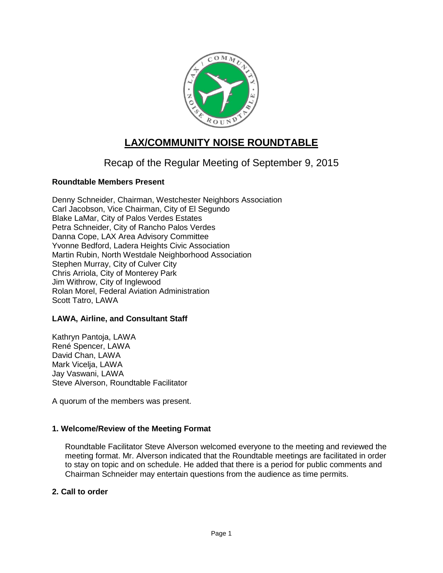

# **LAX/COMMUNITY NOISE ROUNDTABLE**

# Recap of the Regular Meeting of September 9, 2015

# **Roundtable Members Present**

Denny Schneider, Chairman, Westchester Neighbors Association Carl Jacobson, Vice Chairman, City of El Segundo Blake LaMar, City of Palos Verdes Estates Petra Schneider, City of Rancho Palos Verdes Danna Cope, LAX Area Advisory Committee Yvonne Bedford, Ladera Heights Civic Association Martin Rubin, North Westdale Neighborhood Association Stephen Murray, City of Culver City Chris Arriola, City of Monterey Park Jim Withrow, City of Inglewood Rolan Morel, Federal Aviation Administration Scott Tatro, LAWA

## **LAWA, Airline, and Consultant Staff**

Kathryn Pantoja, LAWA René Spencer, LAWA David Chan, LAWA Mark Vicelja, LAWA Jay Vaswani, LAWA Steve Alverson, Roundtable Facilitator

A quorum of the members was present.

## **1. Welcome/Review of the Meeting Format**

Roundtable Facilitator Steve Alverson welcomed everyone to the meeting and reviewed the meeting format. Mr. Alverson indicated that the Roundtable meetings are facilitated in order to stay on topic and on schedule. He added that there is a period for public comments and Chairman Schneider may entertain questions from the audience as time permits.

## **2. Call to order**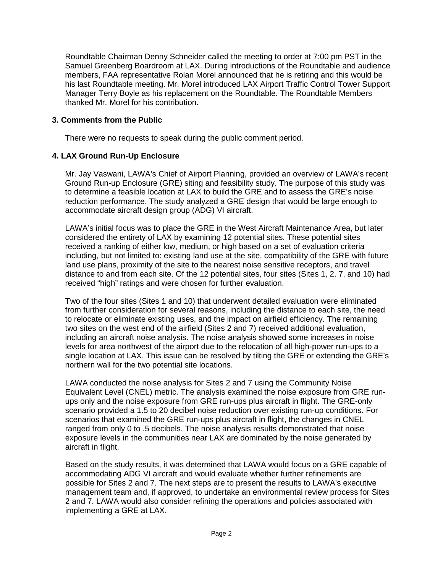Roundtable Chairman Denny Schneider called the meeting to order at 7:00 pm PST in the Samuel Greenberg Boardroom at LAX. During introductions of the Roundtable and audience members, FAA representative Rolan Morel announced that he is retiring and this would be his last Roundtable meeting. Mr. Morel introduced LAX Airport Traffic Control Tower Support Manager Terry Boyle as his replacement on the Roundtable. The Roundtable Members thanked Mr. Morel for his contribution.

# **3. Comments from the Public**

There were no requests to speak during the public comment period.

# **4. LAX Ground Run-Up Enclosure**

Mr. Jay Vaswani, LAWA's Chief of Airport Planning, provided an overview of LAWA's recent Ground Run-up Enclosure (GRE) siting and feasibility study. The purpose of this study was to determine a feasible location at LAX to build the GRE and to assess the GRE's noise reduction performance. The study analyzed a GRE design that would be large enough to accommodate aircraft design group (ADG) VI aircraft.

LAWA's initial focus was to place the GRE in the West Aircraft Maintenance Area, but later considered the entirety of LAX by examining 12 potential sites. These potential sites received a ranking of either low, medium, or high based on a set of evaluation criteria including, but not limited to: existing land use at the site, compatibility of the GRE with future land use plans, proximity of the site to the nearest noise sensitive receptors, and travel distance to and from each site. Of the 12 potential sites, four sites (Sites 1, 2, 7, and 10) had received "high" ratings and were chosen for further evaluation.

Two of the four sites (Sites 1 and 10) that underwent detailed evaluation were eliminated from further consideration for several reasons, including the distance to each site, the need to relocate or eliminate existing uses, and the impact on airfield efficiency. The remaining two sites on the west end of the airfield (Sites 2 and 7) received additional evaluation, including an aircraft noise analysis. The noise analysis showed some increases in noise levels for area northwest of the airport due to the relocation of all high-power run-ups to a single location at LAX. This issue can be resolved by tilting the GRE or extending the GRE's northern wall for the two potential site locations.

LAWA conducted the noise analysis for Sites 2 and 7 using the Community Noise Equivalent Level (CNEL) metric. The analysis examined the noise exposure from GRE runups only and the noise exposure from GRE run-ups plus aircraft in flight. The GRE-only scenario provided a 1.5 to 20 decibel noise reduction over existing run-up conditions. For scenarios that examined the GRE run-ups plus aircraft in flight, the changes in CNEL ranged from only 0 to .5 decibels. The noise analysis results demonstrated that noise exposure levels in the communities near LAX are dominated by the noise generated by aircraft in flight.

Based on the study results, it was determined that LAWA would focus on a GRE capable of accommodating ADG VI aircraft and would evaluate whether further refinements are possible for Sites 2 and 7. The next steps are to present the results to LAWA's executive management team and, if approved, to undertake an environmental review process for Sites 2 and 7. LAWA would also consider refining the operations and policies associated with implementing a GRE at LAX.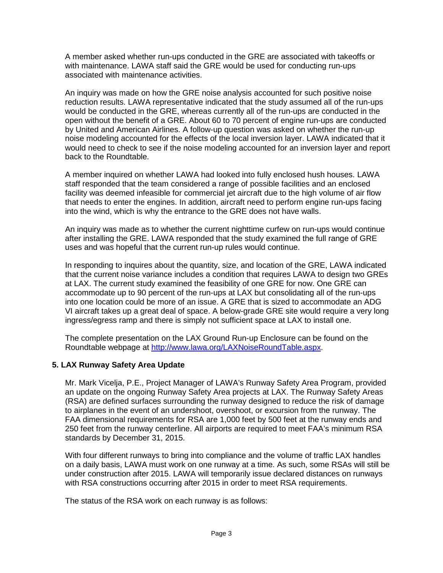A member asked whether run-ups conducted in the GRE are associated with takeoffs or with maintenance. LAWA staff said the GRE would be used for conducting run-ups associated with maintenance activities.

An inquiry was made on how the GRE noise analysis accounted for such positive noise reduction results. LAWA representative indicated that the study assumed all of the run-ups would be conducted in the GRE, whereas currently all of the run-ups are conducted in the open without the benefit of a GRE. About 60 to 70 percent of engine run-ups are conducted by United and American Airlines. A follow-up question was asked on whether the run-up noise modeling accounted for the effects of the local inversion layer. LAWA indicated that it would need to check to see if the noise modeling accounted for an inversion layer and report back to the Roundtable.

A member inquired on whether LAWA had looked into fully enclosed hush houses. LAWA staff responded that the team considered a range of possible facilities and an enclosed facility was deemed infeasible for commercial jet aircraft due to the high volume of air flow that needs to enter the engines. In addition, aircraft need to perform engine run-ups facing into the wind, which is why the entrance to the GRE does not have walls.

An inquiry was made as to whether the current nighttime curfew on run-ups would continue after installing the GRE. LAWA responded that the study examined the full range of GRE uses and was hopeful that the current run-up rules would continue.

In responding to inquires about the quantity, size, and location of the GRE, LAWA indicated that the current noise variance includes a condition that requires LAWA to design two GREs at LAX. The current study examined the feasibility of one GRE for now. One GRE can accommodate up to 90 percent of the run-ups at LAX but consolidating all of the run-ups into one location could be more of an issue. A GRE that is sized to accommodate an ADG VI aircraft takes up a great deal of space. A below-grade GRE site would require a very long ingress/egress ramp and there is simply not sufficient space at LAX to install one.

The complete presentation on the LAX Ground Run-up Enclosure can be found on the Roundtable webpage at [http://www.lawa.org/LAXNoiseRoundTable.aspx.](http://www.lawa.org/LAXNoiseRoundTable.aspx)

# **5. LAX Runway Safety Area Update**

Mr. Mark Vicelja, P.E., Project Manager of LAWA's Runway Safety Area Program, provided an update on the ongoing Runway Safety Area projects at LAX. The Runway Safety Areas (RSA) are defined surfaces surrounding the runway designed to reduce the risk of damage to airplanes in the event of an undershoot, overshoot, or excursion from the runway. The FAA dimensional requirements for RSA are 1,000 feet by 500 feet at the runway ends and 250 feet from the runway centerline. All airports are required to meet FAA's minimum RSA standards by December 31, 2015.

With four different runways to bring into compliance and the volume of traffic LAX handles on a daily basis, LAWA must work on one runway at a time. As such, some RSAs will still be under construction after 2015. LAWA will temporarily issue declared distances on runways with RSA constructions occurring after 2015 in order to meet RSA requirements.

The status of the RSA work on each runway is as follows: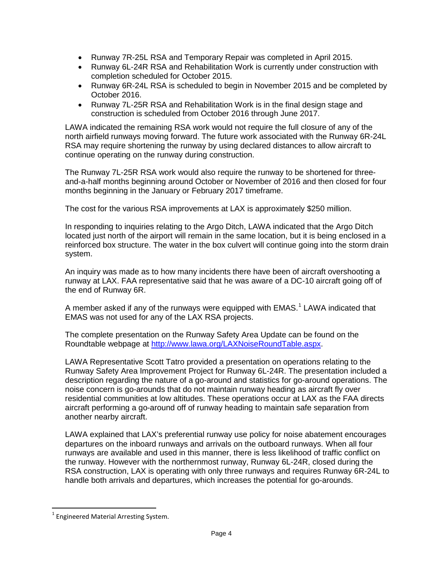- Runway 7R-25L RSA and Temporary Repair was completed in April 2015.
- Runway 6L-24R RSA and Rehabilitation Work is currently under construction with completion scheduled for October 2015.
- Runway 6R-24L RSA is scheduled to begin in November 2015 and be completed by October 2016.
- Runway 7L-25R RSA and Rehabilitation Work is in the final design stage and construction is scheduled from October 2016 through June 2017.

LAWA indicated the remaining RSA work would not require the full closure of any of the north airfield runways moving forward. The future work associated with the Runway 6R-24L RSA may require shortening the runway by using declared distances to allow aircraft to continue operating on the runway during construction.

The Runway 7L-25R RSA work would also require the runway to be shortened for threeand-a-half months beginning around October or November of 2016 and then closed for four months beginning in the January or February 2017 timeframe.

The cost for the various RSA improvements at LAX is approximately \$250 million.

In responding to inquiries relating to the Argo Ditch, LAWA indicated that the Argo Ditch located just north of the airport will remain in the same location, but it is being enclosed in a reinforced box structure. The water in the box culvert will continue going into the storm drain system.

An inquiry was made as to how many incidents there have been of aircraft overshooting a runway at LAX. FAA representative said that he was aware of a DC-10 aircraft going off of the end of Runway 6R.

A member asked if any of the runways were equipped with EMAS.<sup>[1](#page-3-0)</sup> LAWA indicated that EMAS was not used for any of the LAX RSA projects.

The complete presentation on the Runway Safety Area Update can be found on the Roundtable webpage at [http://www.lawa.org/LAXNoiseRoundTable.aspx.](http://www.lawa.org/LAXNoiseRoundTable.aspx)

LAWA Representative Scott Tatro provided a presentation on operations relating to the Runway Safety Area Improvement Project for Runway 6L-24R. The presentation included a description regarding the nature of a go-around and statistics for go-around operations. The noise concern is go-arounds that do not maintain runway heading as aircraft fly over residential communities at low altitudes. These operations occur at LAX as the FAA directs aircraft performing a go-around off of runway heading to maintain safe separation from another nearby aircraft.

LAWA explained that LAX's preferential runway use policy for noise abatement encourages departures on the inboard runways and arrivals on the outboard runways. When all four runways are available and used in this manner, there is less likelihood of traffic conflict on the runway. However with the northernmost runway, Runway 6L-24R, closed during the RSA construction, LAX is operating with only three runways and requires Runway 6R-24L to handle both arrivals and departures, which increases the potential for go-arounds.

<span id="page-3-0"></span> $1$  Engineered Material Arresting System.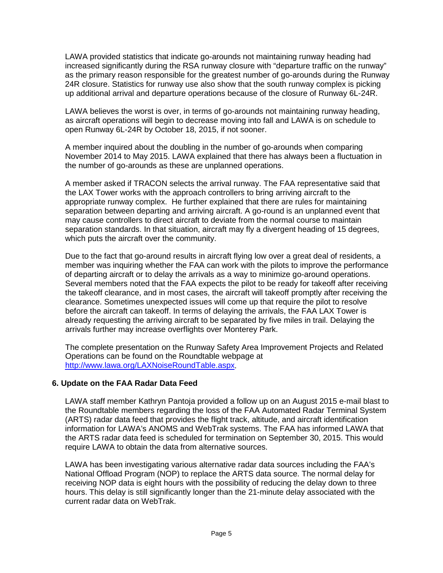LAWA provided statistics that indicate go-arounds not maintaining runway heading had increased significantly during the RSA runway closure with "departure traffic on the runway" as the primary reason responsible for the greatest number of go-arounds during the Runway 24R closure. Statistics for runway use also show that the south runway complex is picking up additional arrival and departure operations because of the closure of Runway 6L-24R.

LAWA believes the worst is over, in terms of go-arounds not maintaining runway heading, as aircraft operations will begin to decrease moving into fall and LAWA is on schedule to open Runway 6L-24R by October 18, 2015, if not sooner.

A member inquired about the doubling in the number of go-arounds when comparing November 2014 to May 2015. LAWA explained that there has always been a fluctuation in the number of go-arounds as these are unplanned operations.

A member asked if TRACON selects the arrival runway. The FAA representative said that the LAX Tower works with the approach controllers to bring arriving aircraft to the appropriate runway complex. He further explained that there are rules for maintaining separation between departing and arriving aircraft. A go-round is an unplanned event that may cause controllers to direct aircraft to deviate from the normal course to maintain separation standards. In that situation, aircraft may fly a divergent heading of 15 degrees, which puts the aircraft over the community.

Due to the fact that go-around results in aircraft flying low over a great deal of residents, a member was inquiring whether the FAA can work with the pilots to improve the performance of departing aircraft or to delay the arrivals as a way to minimize go-around operations. Several members noted that the FAA expects the pilot to be ready for takeoff after receiving the takeoff clearance, and in most cases, the aircraft will takeoff promptly after receiving the clearance. Sometimes unexpected issues will come up that require the pilot to resolve before the aircraft can takeoff. In terms of delaying the arrivals, the FAA LAX Tower is already requesting the arriving aircraft to be separated by five miles in trail. Delaying the arrivals further may increase overflights over Monterey Park.

The complete presentation on the Runway Safety Area Improvement Projects and Related Operations can be found on the Roundtable webpage at [http://www.lawa.org/LAXNoiseRoundTable.aspx.](http://www.lawa.org/LAXNoiseRoundTable.aspx)

## **6. Update on the FAA Radar Data Feed**

LAWA staff member Kathryn Pantoja provided a follow up on an August 2015 e-mail blast to the Roundtable members regarding the loss of the FAA Automated Radar Terminal System (ARTS) radar data feed that provides the flight track, altitude, and aircraft identification information for LAWA's ANOMS and WebTrak systems. The FAA has informed LAWA that the ARTS radar data feed is scheduled for termination on September 30, 2015. This would require LAWA to obtain the data from alternative sources.

LAWA has been investigating various alternative radar data sources including the FAA's National Offload Program (NOP) to replace the ARTS data source. The normal delay for receiving NOP data is eight hours with the possibility of reducing the delay down to three hours. This delay is still significantly longer than the 21-minute delay associated with the current radar data on WebTrak.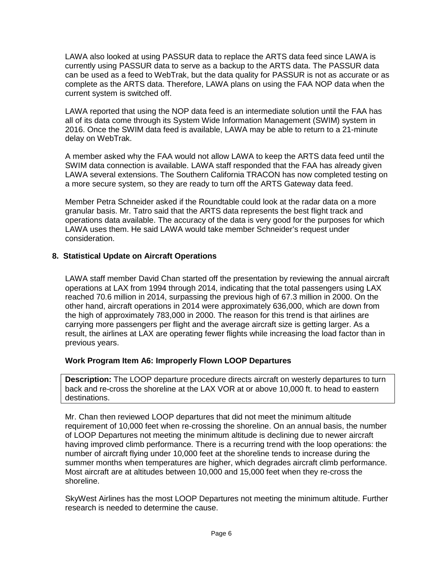LAWA also looked at using PASSUR data to replace the ARTS data feed since LAWA is currently using PASSUR data to serve as a backup to the ARTS data. The PASSUR data can be used as a feed to WebTrak, but the data quality for PASSUR is not as accurate or as complete as the ARTS data. Therefore, LAWA plans on using the FAA NOP data when the current system is switched off.

LAWA reported that using the NOP data feed is an intermediate solution until the FAA has all of its data come through its System Wide Information Management (SWIM) system in 2016. Once the SWIM data feed is available, LAWA may be able to return to a 21-minute delay on WebTrak.

A member asked why the FAA would not allow LAWA to keep the ARTS data feed until the SWIM data connection is available. LAWA staff responded that the FAA has already given LAWA several extensions. The Southern California TRACON has now completed testing on a more secure system, so they are ready to turn off the ARTS Gateway data feed.

Member Petra Schneider asked if the Roundtable could look at the radar data on a more granular basis. Mr. Tatro said that the ARTS data represents the best flight track and operations data available. The accuracy of the data is very good for the purposes for which LAWA uses them. He said LAWA would take member Schneider's request under consideration.

# **8. Statistical Update on Aircraft Operations**

LAWA staff member David Chan started off the presentation by reviewing the annual aircraft operations at LAX from 1994 through 2014, indicating that the total passengers using LAX reached 70.6 million in 2014, surpassing the previous high of 67.3 million in 2000. On the other hand, aircraft operations in 2014 were approximately 636,000, which are down from the high of approximately 783,000 in 2000. The reason for this trend is that airlines are carrying more passengers per flight and the average aircraft size is getting larger. As a result, the airlines at LAX are operating fewer flights while increasing the load factor than in previous years.

## **Work Program Item A6: Improperly Flown LOOP Departures**

**Description:** The LOOP departure procedure directs aircraft on westerly departures to turn back and re-cross the shoreline at the LAX VOR at or above 10,000 ft. to head to eastern destinations.

Mr. Chan then reviewed LOOP departures that did not meet the minimum altitude requirement of 10,000 feet when re-crossing the shoreline. On an annual basis, the number of LOOP Departures not meeting the minimum altitude is declining due to newer aircraft having improved climb performance. There is a recurring trend with the loop operations: the number of aircraft flying under 10,000 feet at the shoreline tends to increase during the summer months when temperatures are higher, which degrades aircraft climb performance. Most aircraft are at altitudes between 10,000 and 15,000 feet when they re-cross the shoreline.

SkyWest Airlines has the most LOOP Departures not meeting the minimum altitude. Further research is needed to determine the cause.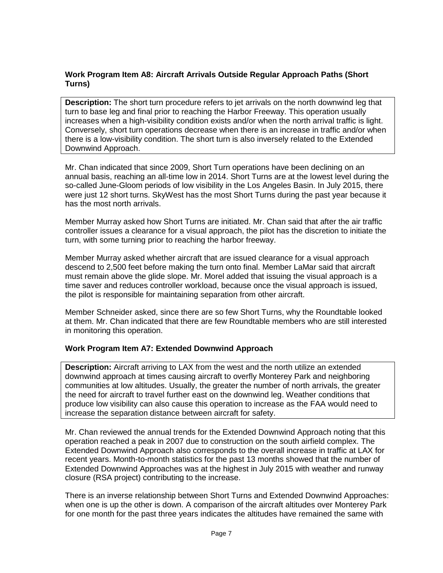# **Work Program Item A8: Aircraft Arrivals Outside Regular Approach Paths (Short Turns)**

**Description:** The short turn procedure refers to jet arrivals on the north downwind leg that turn to base leg and final prior to reaching the Harbor Freeway. This operation usually increases when a high-visibility condition exists and/or when the north arrival traffic is light. Conversely, short turn operations decrease when there is an increase in traffic and/or when there is a low-visibility condition. The short turn is also inversely related to the Extended Downwind Approach.

Mr. Chan indicated that since 2009, Short Turn operations have been declining on an annual basis, reaching an all-time low in 2014. Short Turns are at the lowest level during the so-called June-Gloom periods of low visibility in the Los Angeles Basin. In July 2015, there were just 12 short turns. SkyWest has the most Short Turns during the past year because it has the most north arrivals.

Member Murray asked how Short Turns are initiated. Mr. Chan said that after the air traffic controller issues a clearance for a visual approach, the pilot has the discretion to initiate the turn, with some turning prior to reaching the harbor freeway.

Member Murray asked whether aircraft that are issued clearance for a visual approach descend to 2,500 feet before making the turn onto final. Member LaMar said that aircraft must remain above the glide slope. Mr. Morel added that issuing the visual approach is a time saver and reduces controller workload, because once the visual approach is issued, the pilot is responsible for maintaining separation from other aircraft.

Member Schneider asked, since there are so few Short Turns, why the Roundtable looked at them. Mr. Chan indicated that there are few Roundtable members who are still interested in monitoring this operation.

## **Work Program Item A7: Extended Downwind Approach**

**Description:** Aircraft arriving to LAX from the west and the north utilize an extended downwind approach at times causing aircraft to overfly Monterey Park and neighboring communities at low altitudes. Usually, the greater the number of north arrivals, the greater the need for aircraft to travel further east on the downwind leg. Weather conditions that produce low visibility can also cause this operation to increase as the FAA would need to increase the separation distance between aircraft for safety.

Mr. Chan reviewed the annual trends for the Extended Downwind Approach noting that this operation reached a peak in 2007 due to construction on the south airfield complex. The Extended Downwind Approach also corresponds to the overall increase in traffic at LAX for recent years. Month-to-month statistics for the past 13 months showed that the number of Extended Downwind Approaches was at the highest in July 2015 with weather and runway closure (RSA project) contributing to the increase.

There is an inverse relationship between Short Turns and Extended Downwind Approaches: when one is up the other is down. A comparison of the aircraft altitudes over Monterey Park for one month for the past three years indicates the altitudes have remained the same with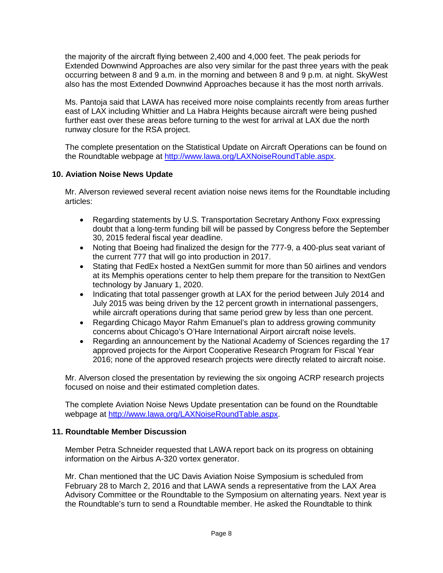the majority of the aircraft flying between 2,400 and 4,000 feet. The peak periods for Extended Downwind Approaches are also very similar for the past three years with the peak occurring between 8 and 9 a.m. in the morning and between 8 and 9 p.m. at night. SkyWest also has the most Extended Downwind Approaches because it has the most north arrivals.

Ms. Pantoja said that LAWA has received more noise complaints recently from areas further east of LAX including Whittier and La Habra Heights because aircraft were being pushed further east over these areas before turning to the west for arrival at LAX due the north runway closure for the RSA project.

The complete presentation on the Statistical Update on Aircraft Operations can be found on the Roundtable webpage at [http://www.lawa.org/LAXNoiseRoundTable.aspx.](http://www.lawa.org/LAXNoiseRoundTable.aspx)

# **10. Aviation Noise News Update**

Mr. Alverson reviewed several recent aviation noise news items for the Roundtable including articles:

- Regarding statements by U.S. Transportation Secretary Anthony Foxx expressing doubt that a long-term funding bill will be passed by Congress before the September 30, 2015 federal fiscal year deadline.
- Noting that Boeing had finalized the design for the 777-9, a 400-plus seat variant of the current 777 that will go into production in 2017.
- Stating that FedEx hosted a NextGen summit for more than 50 airlines and vendors at its Memphis operations center to help them prepare for the transition to NextGen technology by January 1, 2020.
- Indicating that total passenger growth at LAX for the period between July 2014 and July 2015 was being driven by the 12 percent growth in international passengers, while aircraft operations during that same period grew by less than one percent.
- Regarding Chicago Mayor Rahm Emanuel's plan to address growing community concerns about Chicago's O'Hare International Airport aircraft noise levels.
- Regarding an announcement by the National Academy of Sciences regarding the 17 approved projects for the Airport Cooperative Research Program for Fiscal Year 2016; none of the approved research projects were directly related to aircraft noise.

Mr. Alverson closed the presentation by reviewing the six ongoing ACRP research projects focused on noise and their estimated completion dates.

The complete Aviation Noise News Update presentation can be found on the Roundtable webpage at [http://www.lawa.org/LAXNoiseRoundTable.aspx.](http://www.lawa.org/LAXNoiseRoundTable.aspx)

## **11. Roundtable Member Discussion**

Member Petra Schneider requested that LAWA report back on its progress on obtaining information on the Airbus A-320 vortex generator.

Mr. Chan mentioned that the UC Davis Aviation Noise Symposium is scheduled from February 28 to March 2, 2016 and that LAWA sends a representative from the LAX Area Advisory Committee or the Roundtable to the Symposium on alternating years. Next year is the Roundtable's turn to send a Roundtable member. He asked the Roundtable to think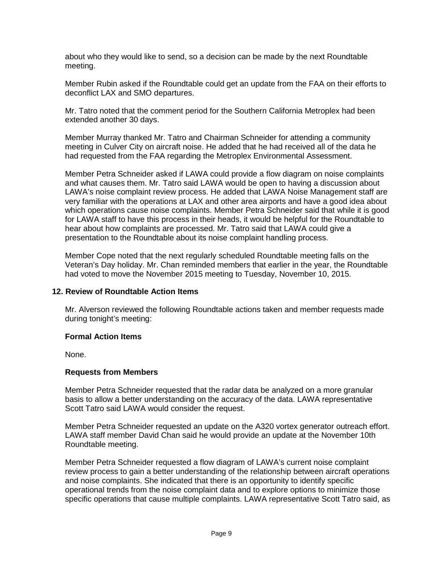about who they would like to send, so a decision can be made by the next Roundtable meeting.

Member Rubin asked if the Roundtable could get an update from the FAA on their efforts to deconflict LAX and SMO departures.

Mr. Tatro noted that the comment period for the Southern California Metroplex had been extended another 30 days.

Member Murray thanked Mr. Tatro and Chairman Schneider for attending a community meeting in Culver City on aircraft noise. He added that he had received all of the data he had requested from the FAA regarding the Metroplex Environmental Assessment.

Member Petra Schneider asked if LAWA could provide a flow diagram on noise complaints and what causes them. Mr. Tatro said LAWA would be open to having a discussion about LAWA's noise complaint review process. He added that LAWA Noise Management staff are very familiar with the operations at LAX and other area airports and have a good idea about which operations cause noise complaints. Member Petra Schneider said that while it is good for LAWA staff to have this process in their heads, it would be helpful for the Roundtable to hear about how complaints are processed. Mr. Tatro said that LAWA could give a presentation to the Roundtable about its noise complaint handling process.

Member Cope noted that the next regularly scheduled Roundtable meeting falls on the Veteran's Day holiday. Mr. Chan reminded members that earlier in the year, the Roundtable had voted to move the November 2015 meeting to Tuesday, November 10, 2015.

## **12. Review of Roundtable Action Items**

Mr. Alverson reviewed the following Roundtable actions taken and member requests made during tonight's meeting:

#### **Formal Action Items**

None.

## **Requests from Members**

Member Petra Schneider requested that the radar data be analyzed on a more granular basis to allow a better understanding on the accuracy of the data. LAWA representative Scott Tatro said LAWA would consider the request.

Member Petra Schneider requested an update on the A320 vortex generator outreach effort. LAWA staff member David Chan said he would provide an update at the November 10th Roundtable meeting.

Member Petra Schneider requested a flow diagram of LAWA's current noise complaint review process to gain a better understanding of the relationship between aircraft operations and noise complaints. She indicated that there is an opportunity to identify specific operational trends from the noise complaint data and to explore options to minimize those specific operations that cause multiple complaints. LAWA representative Scott Tatro said, as